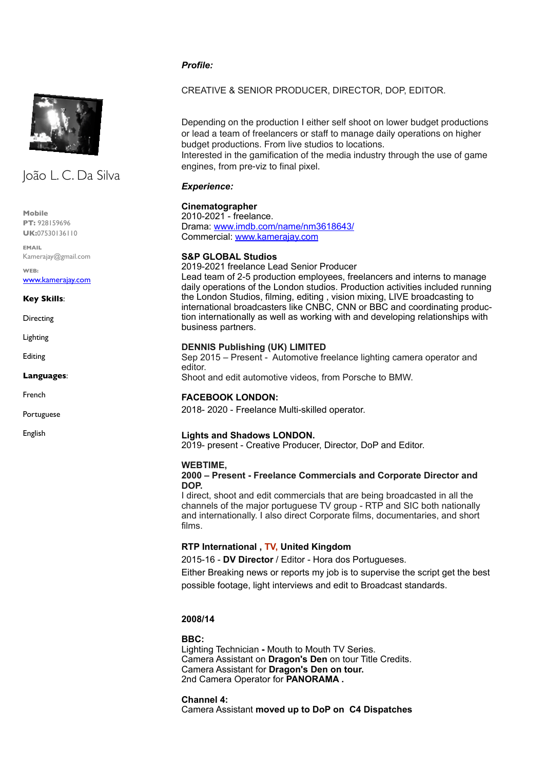## *Profile:*



# João L. C. Da Silva

**Mobile PT:** 928159696 **UK:**07530136110

**EMAIL** Kamerajay@gmail.com

**WEB:** [www.kamerajay.com](http://www.kamerajay.com/)

#### **Key Skills**:

**Directing** 

- Lighting
- Editing

**Languages**:

French

Portuguese

English

## CREATIVE & SENIOR PRODUCER, DIRECTOR, DOP, EDITOR.

Depending on the production I either self shoot on lower budget productions or lead a team of freelancers or staff to manage daily operations on higher budget productions. From live studios to locations. Interested in the gamification of the media industry through the use of game

*Experience:*

## **Cinematographer**

2010-2021 - freelance. Drama: [www.imdb.com/name/nm3618643/](http://www.imdb.com/name/nm3618643/) Commercial: [www.kamerajay.com](http://www.kamerajay.com)

engines, from pre-viz to final pixel.

## **S&P GLOBAL Studios**

2019-2021 freelance Lead Senior Producer

Lead team of 2-5 production employees, freelancers and interns to manage daily operations of the London studios. Production activities included running the London Studios, filming, editing , vision mixing, LIVE broadcasting to international broadcasters like CNBC, CNN or BBC and coordinating production internationally as well as working with and developing relationships with business partners.

## **DENNIS Publishing (UK) LIMITED**

Sep 2015 – Present - Automotive freelance lighting camera operator and editor. Shoot and edit automotive videos, from Porsche to BMW.

**FACEBOOK LONDON:**

## 2018- 2020 - Freelance Multi-skilled operator.

## **Lights and Shadows LONDON.**

2019- present - Creative Producer, Director, DoP and Editor.

#### **WEBTIME,**

#### **2000 – Present - Freelance Commercials and Corporate Director and DOP.**

I direct, shoot and edit commercials that are being broadcasted in all the channels of the major portuguese TV group - RTP and SIC both nationally and internationally. I also direct Corporate films, documentaries, and short films.

## **RTP International , TV, United Kingdom**

2015-16 - **DV Director** / Editor - Hora dos Portugueses.

Either Breaking news or reports my job is to supervise the script get the best possible footage, light interviews and edit to Broadcast standards.

## **2008/14**

## **BBC:**

Lighting Technician **-** Mouth to Mouth TV Series. Camera Assistant on **Dragon's Den** on tour Title Credits. Camera Assistant for **Dragon's Den on tour.** 2nd Camera Operator for **PANORAMA .**

**Channel 4:** 

Camera Assistant **moved up to DoP on C4 Dispatches**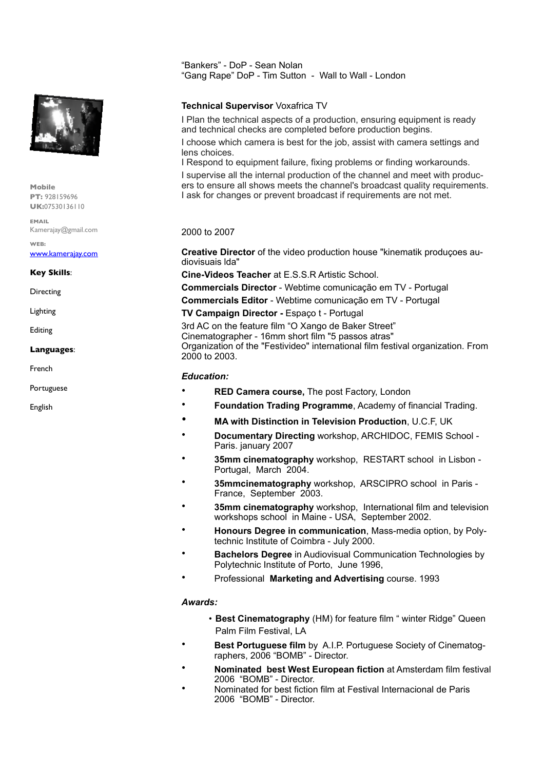

**Mobile PT:** 928159696 **UK:**07530136110

**EMAIL** Kamerajay@gmail.com

**WEB:** [www.kamerajay.com](http://www.kamerajay.com/)

**Key Skills**:

**Directing** 

Lighting

Editing

#### **Languages**:

French

Portuguese

English

"Bankers" - DoP - Sean Nolan "Gang Rape" DoP - Tim Sutton - Wall to Wall - London

## **Technical Supervisor** Voxafrica TV

I Plan the technical aspects of a production, ensuring equipment is ready and technical checks are completed before production begins. I choose which camera is best for the job, assist with camera settings and lens choices. I Respond to equipment failure, fixing problems or finding workarounds.

I supervise all the internal production of the channel and meet with producers to ensure all shows meets the channel's broadcast quality requirements. I ask for changes or prevent broadcast if requirements are not met.

## 2000 to 2007

**Creative Director** of the video production house "kinematik produçoes audiovisuais lda"

**Cine-Videos Teacher** at E.S.S.R Artistic School.

**Commercials Director** - Webtime comunicação em TV - Portugal

**Commercials Editor** - Webtime comunicação em TV - Portugal

**TV Campaign Director -** Espaço t - Portugal

3rd AC on the feature film "O Xango de Baker Street" Cinematographer - 16mm short film "5 passos atras" Organization of the "Festivideo" international film festival organization. From 2000 to 2003.

## *Education:*

- **RED Camera course,** The post Factory, London
- **Foundation Trading Programme**, Academy of financial Trading.
- **MA with Distinction in Television Production**, U.C.F, UK
- **Documentary Directing** workshop, ARCHIDOC, FEMIS School Paris. january 2007
- **35mm cinematography** workshop, RESTART school in Lisbon Portugal, March 2004.
- **35mmcinematography** workshop, ARSCIPRO school in Paris France, September 2003.
- **35mm cinematography** workshop, International film and television workshops school in Maine - USA, September 2002.
- **Honours Degree in communication**, Mass-media option, by Polytechnic Institute of Coimbra - July 2000.
- **Bachelors Degree** in Audiovisual Communication Technologies by Polytechnic Institute of Porto, June 1996,
- Professional **Marketing and Advertising** course. 1993

#### *Awards:*

- **Best Cinematography** (HM) for feature film " winter Ridge" Queen Palm Film Festival, LA
- **Best Portuguese film** by A.I.P. Portuguese Society of Cinematographers, 2006 "BOMB" - Director.
- **Nominated best West European fiction** at Amsterdam film festival 2006 "BOMB" - Director.
- Nominated for best fiction film at Festival Internacional de Paris 2006 "BOMB" - Director.